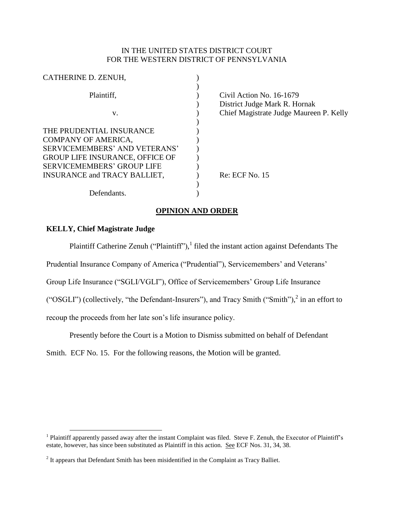# IN THE UNITED STATES DISTRICT COURT FOR THE WESTERN DISTRICT OF PENNSYLVANIA

| CATHERINE D. ZENUH,                    |                                         |
|----------------------------------------|-----------------------------------------|
|                                        |                                         |
| Plaintiff,                             | Civil Action No. 16-1679                |
|                                        | District Judge Mark R. Hornak           |
| v.                                     | Chief Magistrate Judge Maureen P. Kelly |
|                                        |                                         |
| THE PRUDENTIAL INSURANCE               |                                         |
| COMPANY OF AMERICA,                    |                                         |
| SERVICEMEMBERS' AND VETERANS'          |                                         |
| <b>GROUP LIFE INSURANCE, OFFICE OF</b> |                                         |
| <b>SERVICEMEMBERS' GROUP LIFE</b>      |                                         |
| <b>INSURANCE and TRACY BALLIET,</b>    | <b>Re: ECF No. 15</b>                   |
|                                        |                                         |
| Defendants.                            |                                         |
|                                        |                                         |

# **OPINION AND ORDER**

# **KELLY, Chief Magistrate Judge**

 $\overline{a}$ 

Plaintiff Catherine Zenuh ("Plaintiff"),  $\frac{1}{1}$  filed the instant action against Defendants The

Prudential Insurance Company of America ("Prudential"), Servicemembers' and Veterans'

Group Life Insurance ("SGLI/VGLI"), Office of Servicemembers' Group Life Insurance

("OSGLI") (collectively, "the Defendant-Insurers"), and Tracy Smith ("Smith"), 2 in an effort to

recoup the proceeds from her late son's life insurance policy.

Presently before the Court is a Motion to Dismiss submitted on behalf of Defendant

Smith. ECF No. 15. For the following reasons, the Motion will be granted.

<sup>&</sup>lt;sup>1</sup> Plaintiff apparently passed away after the instant Complaint was filed. Steve F. Zenuh, the Executor of Plaintiff's estate, however, has since been substituted as Plaintiff in this action. See ECF Nos. 31, 34, 38.

 $2<sup>2</sup>$  It appears that Defendant Smith has been misidentified in the Complaint as Tracy Balliet.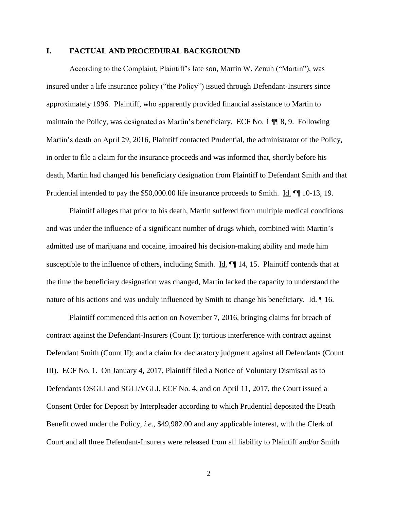## **I. FACTUAL AND PROCEDURAL BACKGROUND**

According to the Complaint, Plaintiff's late son, Martin W. Zenuh ("Martin"), was insured under a life insurance policy ("the Policy") issued through Defendant-Insurers since approximately 1996. Plaintiff, who apparently provided financial assistance to Martin to maintain the Policy, was designated as Martin's beneficiary. ECF No. 1 ¶¶ 8, 9. Following Martin's death on April 29, 2016, Plaintiff contacted Prudential, the administrator of the Policy, in order to file a claim for the insurance proceeds and was informed that, shortly before his death, Martin had changed his beneficiary designation from Plaintiff to Defendant Smith and that Prudential intended to pay the \$50,000.00 life insurance proceeds to Smith. Id. ¶¶ 10-13, 19.

Plaintiff alleges that prior to his death, Martin suffered from multiple medical conditions and was under the influence of a significant number of drugs which, combined with Martin's admitted use of marijuana and cocaine, impaired his decision-making ability and made him susceptible to the influence of others, including Smith. Id.  $\P$  14, 15. Plaintiff contends that at the time the beneficiary designation was changed, Martin lacked the capacity to understand the nature of his actions and was unduly influenced by Smith to change his beneficiary. Id. ¶ 16.

Plaintiff commenced this action on November 7, 2016, bringing claims for breach of contract against the Defendant-Insurers (Count I); tortious interference with contract against Defendant Smith (Count II); and a claim for declaratory judgment against all Defendants (Count III). ECF No. 1. On January 4, 2017, Plaintiff filed a Notice of Voluntary Dismissal as to Defendants OSGLI and SGLI/VGLI, ECF No. 4, and on April 11, 2017, the Court issued a Consent Order for Deposit by Interpleader according to which Prudential deposited the Death Benefit owed under the Policy, *i.e.*, \$49,982.00 and any applicable interest, with the Clerk of Court and all three Defendant-Insurers were released from all liability to Plaintiff and/or Smith

2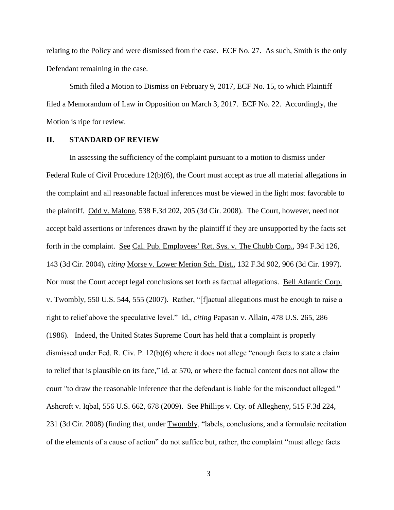relating to the Policy and were dismissed from the case. ECF No. 27. As such, Smith is the only Defendant remaining in the case.

Smith filed a Motion to Dismiss on February 9, 2017, ECF No. 15, to which Plaintiff filed a Memorandum of Law in Opposition on March 3, 2017. ECF No. 22. Accordingly, the Motion is ripe for review.

#### **II. STANDARD OF REVIEW**

In assessing the sufficiency of the complaint pursuant to a motion to dismiss under Federal Rule of Civil Procedure 12(b)(6), the Court must accept as true all material allegations in the complaint and all reasonable factual inferences must be viewed in the light most favorable to the plaintiff. Odd v. Malone, 538 F.3d 202, 205 (3d Cir. 2008). The Court, however, need not accept bald assertions or inferences drawn by the plaintiff if they are unsupported by the facts set forth in the complaint. See Cal. Pub. Employees' Ret. Sys. v. The Chubb Corp., 394 F.3d 126, 143 (3d Cir. 2004), *citing* Morse v. Lower Merion Sch. Dist., 132 F.3d 902, 906 (3d Cir. 1997). Nor must the Court accept legal conclusions set forth as factual allegations. Bell Atlantic Corp. v. Twombly, 550 U.S. 544, 555 (2007). Rather, "[f]actual allegations must be enough to raise a right to relief above the speculative level." Id., *citing* Papasan v. Allain, 478 U.S. 265, 286 (1986). Indeed, the United States Supreme Court has held that a complaint is properly dismissed under Fed. R. Civ. P. 12(b)(6) where it does not allege "enough facts to state a claim to relief that is plausible on its face," id. at 570, or where the factual content does not allow the court "to draw the reasonable inference that the defendant is liable for the misconduct alleged." Ashcroft v. Iqbal, 556 U.S. 662, 678 (2009). See Phillips v. Cty. of Allegheny, 515 F.3d 224, 231 (3d Cir. 2008) (finding that, under Twombly, "labels, conclusions, and a formulaic recitation of the elements of a cause of action" do not suffice but, rather, the complaint "must allege facts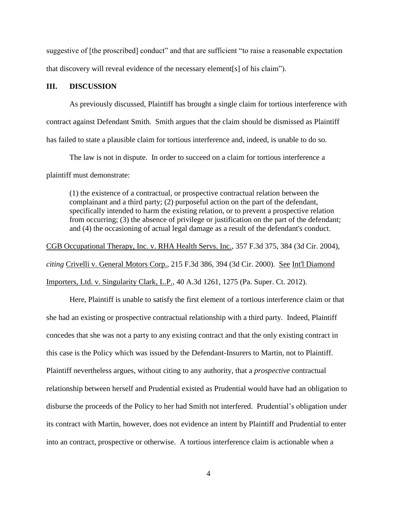suggestive of [the proscribed] conduct" and that are sufficient "to raise a reasonable expectation that discovery will reveal evidence of the necessary element[s] of his claim").

#### **III. DISCUSSION**

As previously discussed, Plaintiff has brought a single claim for tortious interference with contract against Defendant Smith. Smith argues that the claim should be dismissed as Plaintiff has failed to state a plausible claim for tortious interference and, indeed, is unable to do so.

The law is not in dispute. In order to succeed on a claim for tortious interference a

plaintiff must demonstrate:

(1) the existence of a contractual, or prospective contractual relation between the complainant and a third party; (2) purposeful action on the part of the defendant, specifically intended to harm the existing relation, or to prevent a prospective relation from occurring; (3) the absence of privilege or justification on the part of the defendant; and (4) the occasioning of actual legal damage as a result of the defendant's conduct.

CGB Occupational Therapy, Inc. v. RHA Health Servs. Inc., 357 F.3d 375, 384 (3d Cir. 2004), *citing* Crivelli v. General Motors Corp.*,* 215 F.3d 386, 394 (3d Cir. 2000). See Int'l Diamond Importers, Ltd. v. Singularity Clark, L.P., 40 A.3d 1261, 1275 (Pa. Super. Ct. 2012).

Here, Plaintiff is unable to satisfy the first element of a tortious interference claim or that she had an existing or prospective contractual relationship with a third party. Indeed, Plaintiff concedes that she was not a party to any existing contract and that the only existing contract in this case is the Policy which was issued by the Defendant-Insurers to Martin, not to Plaintiff. Plaintiff nevertheless argues, without citing to any authority, that a *prospective* contractual relationship between herself and Prudential existed as Prudential would have had an obligation to disburse the proceeds of the Policy to her had Smith not interfered. Prudential's obligation under its contract with Martin, however, does not evidence an intent by Plaintiff and Prudential to enter into an contract, prospective or otherwise. A tortious interference claim is actionable when a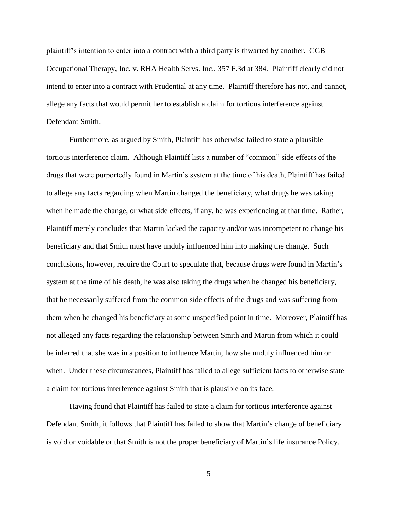plaintiff's intention to enter into a contract with a third party is thwarted by another. CGB Occupational Therapy, Inc. v. RHA Health Servs. Inc., 357 F.3d at 384. Plaintiff clearly did not intend to enter into a contract with Prudential at any time. Plaintiff therefore has not, and cannot, allege any facts that would permit her to establish a claim for tortious interference against Defendant Smith.

Furthermore, as argued by Smith, Plaintiff has otherwise failed to state a plausible tortious interference claim. Although Plaintiff lists a number of "common" side effects of the drugs that were purportedly found in Martin's system at the time of his death, Plaintiff has failed to allege any facts regarding when Martin changed the beneficiary, what drugs he was taking when he made the change, or what side effects, if any, he was experiencing at that time. Rather, Plaintiff merely concludes that Martin lacked the capacity and/or was incompetent to change his beneficiary and that Smith must have unduly influenced him into making the change. Such conclusions, however, require the Court to speculate that, because drugs were found in Martin's system at the time of his death, he was also taking the drugs when he changed his beneficiary, that he necessarily suffered from the common side effects of the drugs and was suffering from them when he changed his beneficiary at some unspecified point in time. Moreover, Plaintiff has not alleged any facts regarding the relationship between Smith and Martin from which it could be inferred that she was in a position to influence Martin, how she unduly influenced him or when. Under these circumstances, Plaintiff has failed to allege sufficient facts to otherwise state a claim for tortious interference against Smith that is plausible on its face.

Having found that Plaintiff has failed to state a claim for tortious interference against Defendant Smith, it follows that Plaintiff has failed to show that Martin's change of beneficiary is void or voidable or that Smith is not the proper beneficiary of Martin's life insurance Policy.

5